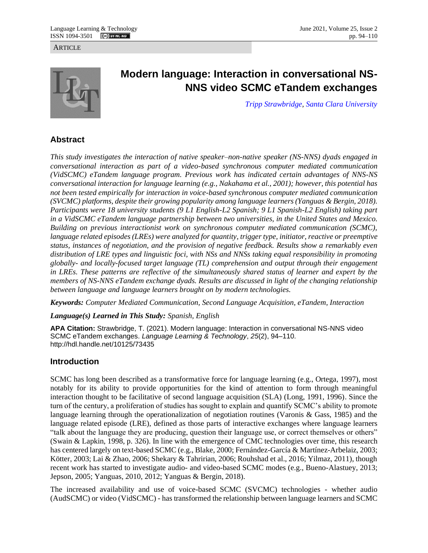**ARTICLE** 



# **Modern language: Interaction in conversational NS-NNS video SCMC eTandem exchanges**

*[Tripp Strawbridge,](https://www.scu.edu/modernlanguages/faculty--staff/) [Santa Clara University](https://www.scu.edu/)*

# **Abstract**

*This study investigates the interaction of native speaker–non-native speaker (NS-NNS) dyads engaged in conversational interaction as part of a video-based synchronous computer mediated communication (VidSCMC) eTandem language program. Previous work has indicated certain advantages of NNS-NS conversational interaction for language learning (e.g., Nakahama et al., 2001); however, this potential has not been tested empirically for interaction in voice-based synchronous computer mediated communication (SVCMC) platforms, despite their growing popularity among language learners (Yanguas & Bergin, 2018). Participants were 18 university students (9 L1 English-L2 Spanish; 9 L1 Spanish-L2 English) taking part in a VidSCMC eTandem language partnership between two universities, in the United States and Mexico. Building on previous interactionist work on synchronous computer mediated communication (SCMC), language related episodes (LREs) were analyzed for quantity, trigger type, initiator, reactive or preemptive status, instances of negotiation, and the provision of negative feedback. Results show a remarkably even distribution of LRE types and linguistic foci, with NSs and NNSs taking equal responsibility in promoting globally- and locally-focused target language (TL) comprehension and output through their engagement in LREs. These patterns are reflective of the simultaneously shared status of learner and expert by the members of NS-NNS eTandem exchange dyads. Results are discussed in light of the changing relationship between language and language learners brought on by modern technologies.* 

*Keywords: Computer Mediated Communication, Second Language Acquisition, eTandem, Interaction*

*Language(s) Learned in This Study: Spanish, English*

**APA Citation:** Strawbridge, T. (2021). Modern language: Interaction in conversational NS-NNS video SCMC eTandem exchanges. *Language Learning & Technology*, *25*(2), 94–110. http://hdl.handle.net/10125/73435

# **Introduction**

SCMC has long been described as a transformative force for language learning (e.g., Ortega, 1997), most notably for its ability to provide opportunities for the kind of attention to form through meaningful interaction thought to be facilitative of second language acquisition (SLA) (Long, 1991, 1996). Since the turn of the century, a proliferation of studies has sought to explain and quantify SCMC's ability to promote language learning through the operationalization of negotiation routines (Varonis & Gass, 1985) and the language related episode (LRE), defined as those parts of interactive exchanges where language learners "talk about the language they are producing, question their language use, or correct themselves or others" (Swain & Lapkin, 1998, p. 326). In line with the emergence of CMC technologies over time, this research has centered largely on text-based SCMC (e.g., Blake, 2000; Fernández-García & Martínez-Arbelaiz, 2003; Kötter, 2003; Lai & Zhao, 2006; Shekary & Tahririan, 2006; Rouhshad et al., 2016; Yilmaz, 2011), though recent work has started to investigate audio- and video-based SCMC modes (e.g., Bueno-Alastuey, 2013; Jepson, 2005; Yanguas, 2010, 2012; Yanguas & Bergin, 2018).

The increased availability and use of voice-based SCMC (SVCMC) technologies - whether audio (AudSCMC) or video (VidSCMC) - has transformed the relationship between language learners and SCMC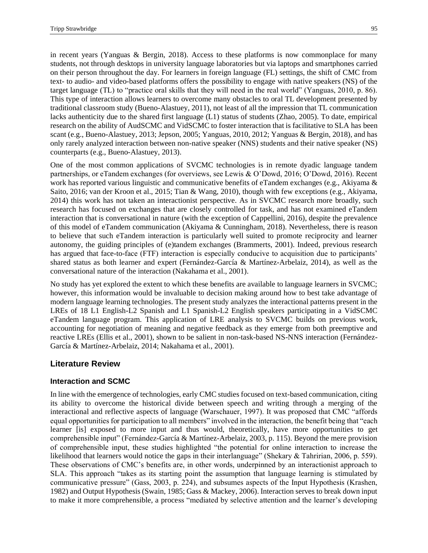in recent years (Yanguas & Bergin, 2018). Access to these platforms is now commonplace for many students, not through desktops in university language laboratories but via laptops and smartphones carried on their person throughout the day. For learners in foreign language (FL) settings, the shift of CMC from text- to audio- and video-based platforms offers the possibility to engage with native speakers (NS) of the target language (TL) to "practice oral skills that they will need in the real world" (Yanguas, 2010, p. 86). This type of interaction allows learners to overcome many obstacles to oral TL development presented by traditional classroom study (Bueno-Alastuey, 2011), not least of all the impression that TL communication lacks authenticity due to the shared first language (L1) status of students (Zhao, 2005). To date, empirical research on the ability of AudSCMC and VidSCMC to foster interaction that is facilitative to SLA has been scant (e.g., Bueno-Alastuey, 2013; Jepson, 2005; Yanguas, 2010, 2012; Yanguas & Bergin, 2018), and has only rarely analyzed interaction between non-native speaker (NNS) students and their native speaker (NS) counterparts (e.g., Bueno-Alastuey, 2013).

One of the most common applications of SVCMC technologies is in remote dyadic language tandem partnerships, or eTandem exchanges (for overviews, see Lewis & O'Dowd, 2016; O'Dowd, 2016). Recent work has reported various linguistic and communicative benefits of eTandem exchanges (e.g., Akiyama & Saito, 2016; van der Kroon et al., 2015; Tian & Wang, 2010), though with few exceptions (e.g., Akiyama, 2014) this work has not taken an interactionist perspective. As in SVCMC research more broadly, such research has focused on exchanges that are closely controlled for task, and has not examined eTandem interaction that is conversational in nature (with the exception of Cappellini, 2016), despite the prevalence of this model of eTandem communication (Akiyama & Cunningham, 2018). Nevertheless, there is reason to believe that such eTandem interaction is particularly well suited to promote reciprocity and learner autonomy, the guiding principles of (e)tandem exchanges (Brammerts, 2001). Indeed, previous research has argued that face-to-face (FTF) interaction is especially conducive to acquisition due to participants' shared status as both learner and expert (Fernández-García & Martínez-Arbelaiz, 2014), as well as the conversational nature of the interaction (Nakahama et al., 2001).

No study has yet explored the extent to which these benefits are available to language learners in SVCMC; however, this information would be invaluable to decision making around how to best take advantage of modern language learning technologies. The present study analyzes the interactional patterns present in the LREs of 18 L1 English-L2 Spanish and L1 Spanish-L2 English speakers participating in a VidSCMC eTandem language program. This application of LRE analysis to SVCMC builds on previous work, accounting for negotiation of meaning and negative feedback as they emerge from both preemptive and reactive LREs (Ellis et al., 2001), shown to be salient in non-task-based NS-NNS interaction (Fernández-García & Martínez-Arbelaiz, 2014; Nakahama et al., 2001).

## **Literature Review**

### **Interaction and SCMC**

In line with the emergence of technologies, early CMC studies focused on text-based communication, citing its ability to overcome the historical divide between speech and writing through a merging of the interactional and reflective aspects of language (Warschauer, 1997). It was proposed that CMC "affords equal opportunities for participation to all members" involved in the interaction, the benefit being that "each learner [is] exposed to more input and thus would, theoretically, have more opportunities to get comprehensible input" (Fernández-García & Martínez-Arbelaiz, 2003, p. 115). Beyond the mere provision of comprehensible input, these studies highlighted "the potential for online interaction to increase the likelihood that learners would notice the gaps in their interlanguage" (Shekary & Tahririan, 2006, p. 559). These observations of CMC's benefits are, in other words, underpinned by an interactionist approach to SLA. This approach "takes as its starting point the assumption that language learning is stimulated by communicative pressure" (Gass, 2003, p. 224), and subsumes aspects of the Input Hypothesis (Krashen, 1982) and Output Hypothesis (Swain, 1985; Gass & Mackey, 2006). Interaction serves to break down input to make it more comprehensible, a process "mediated by selective attention and the learner's developing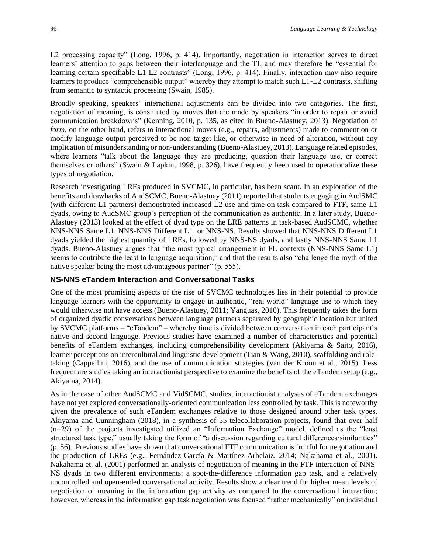L2 processing capacity" (Long, 1996, p. 414). Importantly, negotiation in interaction serves to direct learners' attention to gaps between their interlanguage and the TL and may therefore be "essential for learning certain specifiable L1-L2 contrasts" (Long, 1996, p. 414). Finally, interaction may also require learners to produce "comprehensible output" whereby they attempt to match such L1-L2 contrasts, shifting from semantic to syntactic processing (Swain, 1985).

Broadly speaking, speakers' interactional adjustments can be divided into two categories. The first, negotiation of meaning, is constituted by moves that are made by speakers "in order to repair or avoid communication breakdowns" (Kenning, 2010, p. 135, as cited in Bueno-Alastuey, 2013). Negotiation of *form*, on the other hand, refers to interactional moves (e.g., repairs, adjustments) made to comment on or modify language output perceived to be non-target-like, or otherwise in need of alteration, without any implication of misunderstanding or non-understanding (Bueno-Alastuey, 2013). Language related episodes, where learners "talk about the language they are producing, question their language use, or correct themselves or others" (Swain & Lapkin, 1998, p. 326), have frequently been used to operationalize these types of negotiation.

Research investigating LREs produced in SVCMC, in particular, has been scant. In an exploration of the benefits and drawbacks of AudSCMC, Bueno-Alastuey (2011) reported that students engaging in AudSMC (with different-L1 partners) demonstrated increased L2 use and time on task compared to FTF, same-L1 dyads, owing to AudSMC group's perception of the communication as authentic. In a later study, Bueno-Alastuey (2013) looked at the effect of dyad type on the LRE patterns in task-based AudSCMC, whether NNS-NNS Same L1, NNS-NNS Different L1, or NNS-NS. Results showed that NNS-NNS Different L1 dyads yielded the highest quantity of LREs, followed by NNS-NS dyads, and lastly NNS-NNS Same L1 dyads. Bueno-Alastuey argues that "the most typical arrangement in FL contexts (NNS-NNS Same L1) seems to contribute the least to language acquisition," and that the results also "challenge the myth of the native speaker being the most advantageous partner" (p. 555).

### **NS-NNS eTandem Interaction and Conversational Tasks**

One of the most promising aspects of the rise of SVCMC technologies lies in their potential to provide language learners with the opportunity to engage in authentic, "real world" language use to which they would otherwise not have access (Bueno-Alastuey, 2011; Yanguas, 2010). This frequently takes the form of organized dyadic conversations between language partners separated by geographic location but united by SVCMC platforms – "eTandem" – whereby time is divided between conversation in each participant's native and second language. Previous studies have examined a number of characteristics and potential benefits of eTandem exchanges, including comprehensibility development (Akiyama & Saito, 2016), learner perceptions on intercultural and linguistic development (Tian & Wang, 2010), scaffolding and roletaking (Cappellini, 2016), and the use of communication strategies (van der Kroon et al., 2015). Less frequent are studies taking an interactionist perspective to examine the benefits of the eTandem setup (e.g., Akiyama, 2014).

As in the case of other AudSCMC and VidSCMC, studies, interactionist analyses of eTandem exchanges have not yet explored conversationally-oriented communication less controlled by task. This is noteworthy given the prevalence of such eTandem exchanges relative to those designed around other task types. Akiyama and Cunningham (2018), in a synthesis of 55 telecollaboration projects, found that over half (n=29) of the projects investigated utilized an "Information Exchange" model, defined as the "least structured task type," usually taking the form of "a discussion regarding cultural differences/similarities" (p. 56). Previous studies have shown that conversational FTF communication is fruitful for negotiation and the production of LREs (e.g., Fernández-García & Martínez-Arbelaiz, 2014; Nakahama et al., 2001). Nakahama et. al. (2001) performed an analysis of negotiation of meaning in the FTF interaction of NNS-NS dyads in two different environments: a spot-the-difference information gap task, and a relatively uncontrolled and open-ended conversational activity. Results show a clear trend for higher mean levels of negotiation of meaning in the information gap activity as compared to the conversational interaction; however, whereas in the information gap task negotiation was focused "rather mechanically" on individual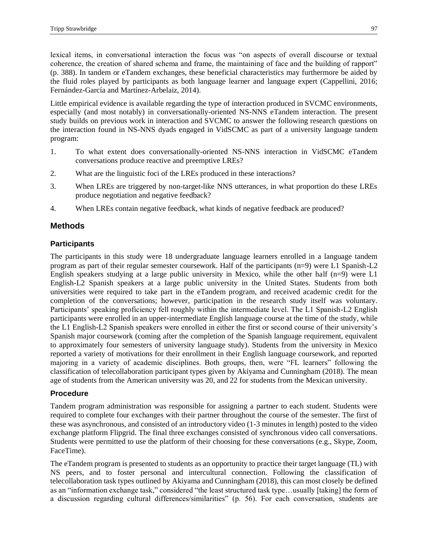lexical items, in conversational interaction the focus was "on aspects of overall discourse or textual coherence, the creation of shared schema and frame, the maintaining of face and the building of rapport" (p. 388). In tandem or eTandem exchanges, these beneficial characteristics may furthermore be aided by the fluid roles played by participants as both language learner and language expert (Cappellini, 2016; Fernández-García and Martínez-Arbelaiz, 2014).

Little empirical evidence is available regarding the type of interaction produced in SVCMC environments, especially (and most notably) in conversationally-oriented NS-NNS eTandem interaction. The present study builds on previous work in interaction and SVCMC to answer the following research questions on the interaction found in NS-NNS dyads engaged in VidSCMC as part of a university language tandem program:

- 1. To what extent does conversationally-oriented NS-NNS interaction in VidSCMC eTandem conversations produce reactive and preemptive LREs?
- 2. What are the linguistic foci of the LREs produced in these interactions?
- 3. When LREs are triggered by non-target-like NNS utterances, in what proportion do these LREs produce negotiation and negative feedback?
- 4. When LREs contain negative feedback, what kinds of negative feedback are produced?

## **Methods**

## **Participants**

The participants in this study were 18 undergraduate language learners enrolled in a language tandem program as part of their regular semester coursework. Half of the participants (n=9) were L1 Spanish-L2 English speakers studying at a large public university in Mexico, while the other half  $(n=9)$  were L1 English-L2 Spanish speakers at a large public university in the United States. Students from both universities were required to take part in the eTandem program, and received academic credit for the completion of the conversations; however, participation in the research study itself was voluntary. Participants' speaking proficiency fell roughly within the intermediate level. The L1 Spanish-L2 English participants were enrolled in an upper-intermediate English language course at the time of the study, while the L1 English-L2 Spanish speakers were enrolled in either the first or second course of their university's Spanish major coursework (coming after the completion of the Spanish language requirement, equivalent to approximately four semesters of university language study). Students from the university in Mexico reported a variety of motivations for their enrollment in their English language coursework, and reported majoring in a variety of academic disciplines. Both groups, then, were "FL learners" following the classification of telecollaboration participant types given by Akiyama and Cunningham (2018). The mean age of students from the American university was 20, and 22 for students from the Mexican university.

### **Procedure**

Tandem program administration was responsible for assigning a partner to each student. Students were required to complete four exchanges with their partner throughout the course of the semester. The first of these was asynchronous, and consisted of an introductory video (1-3 minutes in length) posted to the video exchange platform Flipgrid. The final three exchanges consisted of synchronous video call conversations. Students were permitted to use the platform of their choosing for these conversations (e.g., Skype, Zoom, FaceTime).

The eTandem program is presented to students as an opportunity to practice their target language (TL) with NS peers, and to foster personal and intercultural connection. Following the classification of telecollaboration task types outlined by Akiyama and Cunningham (2018), this can most closely be defined as an "information exchange task," considered "the least structured task type…usually [taking] the form of a discussion regarding cultural differences/similarities" (p. 56). For each conversation, students are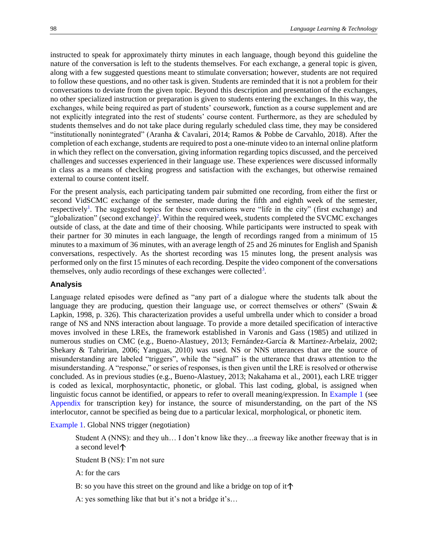instructed to speak for approximately thirty minutes in each language, though beyond this guideline the nature of the conversation is left to the students themselves. For each exchange, a general topic is given, along with a few suggested questions meant to stimulate conversation; however, students are not required to follow these questions, and no other task is given. Students are reminded that it is not a problem for their conversations to deviate from the given topic. Beyond this description and presentation of the exchanges, no other specialized instruction or preparation is given to students entering the exchanges. In this way, the exchanges, while being required as part of students' coursework, function as a course supplement and are not explicitly integrated into the rest of students' course content. Furthermore, as they are scheduled by students themselves and do not take place during regularly scheduled class time, they may be considered "institutionally nonintegrated" (Aranha & Cavalari, 2014; Ramos & Pobbe de Carvahlo, 2018). After the completion of each exchange, students are required to post a one-minute video to an internal online platform in which they reflect on the conversation, giving information regarding topics discussed, and the perceived challenges and successes experienced in their language use. These experiences were discussed informally in class as a means of checking progress and satisfaction with the exchanges, but otherwise remained external to course content itself.

<span id="page-4-1"></span><span id="page-4-0"></span>For the present analysis, each participating tandem pair submitted one recording, from either the first or second VidSCMC exchange of the semester, made during the fifth and eighth week of the semester, respectivel[y](#page-13-0)<sup>1</sup>. The suggested topics for these conversations were "life in the city" (first exchange) and "globalization" (second exchange)<sup>2</sup>[.](#page-13-1) Within the required week, students completed the SVCMC exchanges outside of class, at the date and time of their choosing. While participants were instructed to speak with their partner for 30 minutes in each language, the length of recordings ranged from a minimum of 15 minutes to a maximum of 36 minutes, with an average length of 25 and 26 minutes for English and Spanish conversations, respectively. As the shortest recording was 15 minutes long, the present analysis was performed only on the first 15 minutes of each recording. Despite the video component of the conversations themselves, only au[d](#page-13-2)io recordings of these exchanges were collected<sup>3</sup>.

#### <span id="page-4-2"></span>**Analysis**

Language related episodes were defined as "any part of a dialogue where the students talk about the language they are producing, question their language use, or correct themselves or others" (Swain & Lapkin, 1998, p. 326). This characterization provides a useful umbrella under which to consider a broad range of NS and NNS interaction about language. To provide a more detailed specification of interactive moves involved in these LREs, the framework established in Varonis and Gass (1985) and utilized in numerous studies on CMC (e.g., Bueno-Alastuey, 2013; Fernández-García & Martínez-Arbelaiz, 2002; Shekary & Tahririan, 2006; Yanguas, 2010) was used. NS or NNS utterances that are the source of misunderstanding are labeled "triggers", while the "signal" is the utterance that draws attention to the misunderstanding. A "response," or series of responses, is then given until the LRE is resolved or otherwise concluded. As in previous studies (e.g., Bueno-Alastuey, 2013; Nakahama et al., 2001), each LRE trigger is coded as lexical, morphosyntactic, phonetic, or global. This last coding, global, is assigned when linguistic focus cannot be identified, or appears to refer to overall meaning/expression. In Example 1 (see Appendix for transcription key) for instance, the source of misunderstanding, on the part of the NS interlocutor, cannot be specified as being due to a particular lexical, morphological, or phonetic item.

Example 1. Global NNS trigger (negotiation)

Student A (NNS): and they uh… I don't know like they…a freeway like another freeway that is in a second level

Student B (NS): I'm not sure

A: for the cars

B: so you have this street on the ground and like a bridge on top of it  $\uparrow$ 

A: yes something like that but it's not a bridge it's…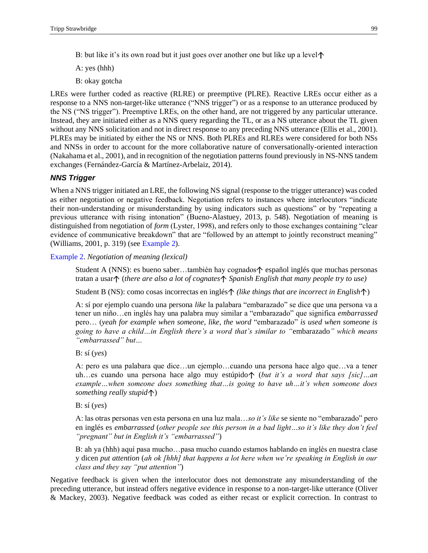B: but like it's its own road but it just goes over another one but like up a level  $\uparrow$ 

A: yes (hhh)

B: okay gotcha

LREs were further coded as reactive (RLRE) or preemptive (PLRE). Reactive LREs occur either as a response to a NNS non-target-like utterance ("NNS trigger") or as a response to an utterance produced by the NS ("NS trigger"). Preemptive LREs, on the other hand, are not triggered by any particular utterance. Instead, they are initiated either as a NNS query regarding the TL, or as a NS utterance about the TL given without any NNS solicitation and not in direct response to any preceding NNS utterance (Ellis et al., 2001). PLREs may be initiated by either the NS or NNS. Both PLREs and RLREs were considered for both NSs and NNSs in order to account for the more collaborative nature of conversationally-oriented interaction (Nakahama et al., 2001), and in recognition of the negotiation patterns found previously in NS-NNS tandem exchanges (Fernández-García & Martínez-Arbelaiz, 2014).

#### *NNS Trigger*

When a NNS trigger initiated an LRE, the following NS signal (response to the trigger utterance) was coded as either negotiation or negative feedback. Negotiation refers to instances where interlocutors "indicate their non-understanding or misunderstanding by using indicators such as questions" or by "repeating a previous utterance with rising intonation" (Bueno-Alastuey, 2013, p. 548). Negotiation of meaning is distinguished from negotiation of *form* (Lyster, 1998), and refers only to those exchanges containing "clear evidence of communicative breakdown" that are "followed by an attempt to jointly reconstruct meaning" (Williams, 2001, p. 319) (see Example 2).

Example 2. *Negotiation of meaning (lexical)*

Student A (NNS): es bueno saber...también hay cognados $\uparrow$  español inglés que muchas personas tratan a usar (*there are also a lot of cognates Spanish English that many people try to use)* 

Student B (NS): como cosas incorrectas en inglés $\uparrow$  (like things that are incorrect in English $\uparrow$ )

A: sí por ejemplo cuando una persona *like* la palabara "embarazado" se dice que una persona va a tener un niño…en inglés hay una palabra muy similar a "embarazado" que significa *embarrassed* pero… (*yeah for example when someone, like, the word* "embarazado" *is used when someone is going to have a child…in English there's a word that's similar to "*embarazado*" which means "embarrassed" but…*

B: sí (*yes*)

A: pero es una palabara que dice…un ejemplo…cuando una persona hace algo que…va a tener uh…es cuando una persona hace algo muy estúpido↑ (*but it's a word that says [sic]*…an *example…when someone does something that…is going to have uh…it's when someone does something really stupid*<sup>1</sup>)

B: sí (*yes*)

A: las otras personas ven esta persona en una luz mala…*so it's like* se siente no "embarazado" pero en inglés es *embarrassed* (*other people see this person in a bad light…so it's like they don't feel "pregnant" but in English it's "embarrassed"*)

B: ah ya (hhh) aquí pasa mucho…pasa mucho cuando estamos hablando en inglés en nuestra clase y dicen *put attention* (*ah ok [hhh] that happens a lot here when we're speaking in English in our class and they say "put attention"*)

Negative feedback is given when the interlocutor does not demonstrate any misunderstanding of the preceding utterance, but instead offers negative evidence in response to a non-target-like utterance (Oliver & Mackey, 2003). Negative feedback was coded as either recast or explicit correction. In contrast to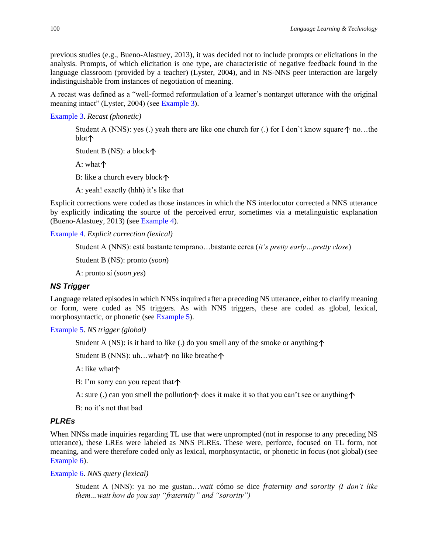previous studies (e.g., Bueno-Alastuey, 2013), it was decided not to include prompts or elicitations in the analysis. Prompts, of which elicitation is one type, are characteristic of negative feedback found in the language classroom (provided by a teacher) (Lyster, 2004), and in NS-NNS peer interaction are largely indistinguishable from instances of negotiation of meaning.

A recast was defined as a "well-formed reformulation of a learner's nontarget utterance with the original meaning intact" (Lyster, 2004) (see Example 3).

[Example 3.](#page-6-0) *Recast (phonetic)*

<span id="page-6-0"></span>Student A (NNS): yes (.) yeah there are like one church for (.) for I don't know square  $\uparrow$  no...the blot个

Student B (NS): a block

A: what $\uparrow$ 

B: like a church every block

A: yeah! exactly (hhh) it's like that

Explicit corrections were coded as those instances in which the NS interlocutor corrected a NNS utterance by explicitly indicating the source of the perceived error, sometimes via a metalinguistic explanation (Bueno-Alastuey, 2013) (see Example 4).

[Example 4.](#page-6-1) *Explicit correction (lexical)*

<span id="page-6-1"></span>Student A (NNS): está bastante temprano…bastante cerca (*it's pretty early…pretty close*)

Student B (NS): pronto (*soon*)

A: pronto sí (*soon yes*)

#### *NS Trigger*

Language related episodes in which NNSs inquired after a preceding NS utterance, either to clarify meaning or form, were coded as NS triggers. As with NNS triggers, these are coded as global, lexical, morphosyntactic, or phonetic (see Example 5).

<span id="page-6-4"></span>[Example 5.](#page-6-2) *NS trigger (global)*

<span id="page-6-2"></span>Student A (NS): is it hard to like (.) do you smell any of the smoke or anything  $\uparrow$ 

Student B (NNS): uh...what $\uparrow$  no like breathe $\uparrow$ 

A: like what

B: I'm sorry can you repeat that

A: sure (.) can you smell the pollution  $\uparrow$  does it make it so that you can't see or anything  $\uparrow$ 

B: no it's not that bad

#### *PLREs*

When NNSs made inquiries regarding TL use that were unprompted (not in response to any preceding NS utterance), these LREs were labeled as NNS PLREs. These were, perforce, focused on TL form, not meaning, and were therefore coded only as lexical, morphosyntactic, or phonetic in focus (not global) (see Example 6).

[Example 6.](#page-6-3) *NNS query (lexical)*

<span id="page-6-3"></span>Student A (NNS): ya no me gustan…*wait* cómo se dice *fraternity and sorority (I don't like them…wait how do you say "fraternity" and "sorority")*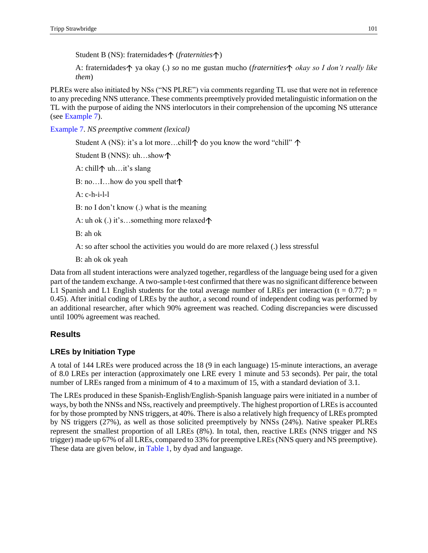Student B (NS): fraternidades (*fraternities* )

A: fraternidades  $\uparrow$  ya okay (.) *so* no me gustan mucho (*fraternities*  $\uparrow$  *okay so I don't really like them*)

PLREs were also initiated by NSs ("NS PLRE") via comments regarding TL use that were not in reference to any preceding NNS utterance. These comments preemptively provided metalinguistic information on the TL with the purpose of aiding the NNS interlocutors in their comprehension of the upcoming NS utterance (see [Example 7\)](#page-7-0).

<span id="page-7-1"></span><span id="page-7-0"></span>[Example 7.](#page-7-1) *NS preemptive comment (lexical)*

Student A (NS): it's a lot more...chill $\uparrow$  do you know the word "chill"  $\uparrow$ Student B (NNS): uh…show A: chill $\uparrow$  uh...it's slang B: no...I...how do you spell that  $\uparrow$ A: c-h-i-l-l B: no I don't know (.) what is the meaning A: uh ok (.) it's...something more relaxed $\uparrow$ B: ah ok A: so after school the activities you would do are more relaxed (.) less stressful B: ah ok ok yeah

Data from all student interactions were analyzed together, regardless of the language being used for a given part of the tandem exchange. A two-sample t-test confirmed that there was no significant difference between L1 Spanish and L1 English students for the total average number of LREs per interaction (t = 0.77; p = 0.45). After initial coding of LREs by the author, a second round of independent coding was performed by an additional researcher, after which 90% agreement was reached. Coding discrepancies were discussed until 100% agreement was reached.

## **Results**

## **LREs by Initiation Type**

A total of 144 LREs were produced across the 18 (9 in each language) 15-minute interactions, an average of 8.0 LREs per interaction (approximately one LRE every 1 minute and 53 seconds). Per pair, the total number of LREs ranged from a minimum of 4 to a maximum of 15, with a standard deviation of 3.1.

The LREs produced in these Spanish-English/English-Spanish language pairs were initiated in a number of ways, by both the NNSs and NSs, reactively and preemptively. The highest proportion of LREs is accounted for by those prompted by NNS triggers, at 40%. There is also a relatively high frequency of LREs prompted by NS triggers (27%), as well as those solicited preemptively by NNSs (24%). Native speaker PLREs represent the smallest proportion of all LREs (8%). In total, then, reactive LREs (NNS trigger and NS trigger) made up 67% of all LREs, compared to 33% for preemptive LREs (NNS query and NS preemptive). These data are given below, in Table 1, by dyad and language.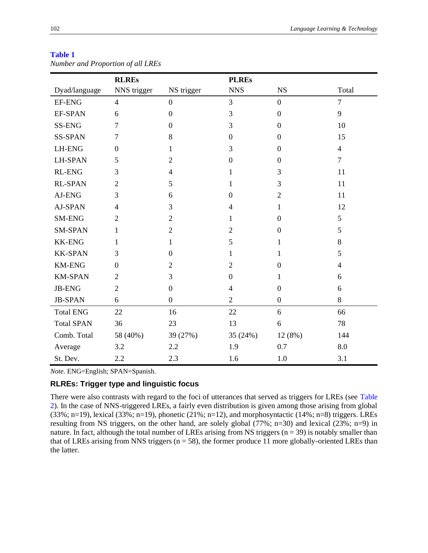#### **Table 1**

|                   | <b>RLREs</b>   |                  | <b>PLREs</b>     |                  |                |  |
|-------------------|----------------|------------------|------------------|------------------|----------------|--|
| Dyad/language     | NNS trigger    | NS trigger       | <b>NNS</b>       | <b>NS</b>        | Total          |  |
| <b>EF-ENG</b>     | $\overline{4}$ | $\overline{0}$   | $\overline{3}$   | $\overline{0}$   | $\overline{7}$ |  |
| EF-SPAN           | 6              | $\boldsymbol{0}$ | 3                | $\boldsymbol{0}$ | 9              |  |
| SS-ENG            | 7              | $\overline{0}$   | 3                | $\boldsymbol{0}$ | 10             |  |
| <b>SS-SPAN</b>    | $\overline{7}$ | 8                | $\boldsymbol{0}$ | $\boldsymbol{0}$ | 15             |  |
| <b>LH-ENG</b>     | $\overline{0}$ | 1                | 3                | $\boldsymbol{0}$ | $\overline{4}$ |  |
| <b>LH-SPAN</b>    | 5              | $\overline{2}$   | $\boldsymbol{0}$ | $\boldsymbol{0}$ | $\overline{7}$ |  |
| <b>RL-ENG</b>     | 3              | $\overline{4}$   | 1                | 3                | 11             |  |
| <b>RL-SPAN</b>    | $\overline{2}$ | 5                | $\mathbf 1$      | 3                | 11             |  |
| AJ-ENG            | 3              | 6                | $\overline{0}$   | $\overline{2}$   | 11             |  |
| AJ-SPAN           | $\overline{4}$ | 3                | $\overline{4}$   | $\mathbf{1}$     | 12             |  |
| SM-ENG            | $\overline{2}$ | $\overline{2}$   | 1                | $\boldsymbol{0}$ | 5              |  |
| <b>SM-SPAN</b>    | 1              | $\overline{2}$   | $\overline{2}$   | $\boldsymbol{0}$ | 5              |  |
| <b>KK-ENG</b>     | 1              | 1                | 5                | 1                | 8              |  |
| <b>KK-SPAN</b>    | 3              | $\boldsymbol{0}$ | 1                | $\mathbf{1}$     | 5              |  |
| <b>KM-ENG</b>     | $\theta$       | $\overline{2}$   | $\overline{2}$   | $\boldsymbol{0}$ | $\overline{4}$ |  |
| <b>KM-SPAN</b>    | $\overline{2}$ | 3                | $\boldsymbol{0}$ | $\mathbf{1}$     | 6              |  |
| <b>JB-ENG</b>     | $\overline{2}$ | $\boldsymbol{0}$ | $\overline{4}$   | $\boldsymbol{0}$ | 6              |  |
| <b>JB-SPAN</b>    | 6              | $\overline{0}$   | $\overline{2}$   | $\boldsymbol{0}$ | 8              |  |
| <b>Total ENG</b>  | 22             | 16               | 22               | 6                | 66             |  |
| <b>Total SPAN</b> | 36             | 23               | 13               | 6                | 78             |  |
| Comb. Total       | 58 (40%)       | 39 (27%)         | 35 (24%)         | 12 (8%)          | 144            |  |
| Average           | 3.2            | 2.2              | 1.9              | 0.7              | 8.0            |  |
| St. Dev.          | 2.2            | 2.3              | 1.6              | 1.0              | 3.1            |  |

*Number and Proportion of all LREs*

*Note.* ENG=English; SPAN=Spanish.

## **RLREs: Trigger type and linguistic focus**

There were also contrasts with regard to the foci of utterances that served as triggers for LREs (see Table [2\)](#page-9-0). In the case of NNS-triggered LREs, a fairly even distribution is given among those arising from global (33%; n=19), lexical (33%; n=19), phonetic (21%; n=12), and morphosyntactic (14%; n=8) triggers. LREs resulting from NS triggers, on the other hand, are solely global (77%; n=30) and lexical (23%; n=9) in nature. In fact, although the total number of LREs arising from NS triggers ( $n = 39$ ) is notably smaller than that of LREs arising from NNS triggers ( $n = 58$ ), the former produce 11 more globally-oriented LREs than the latter.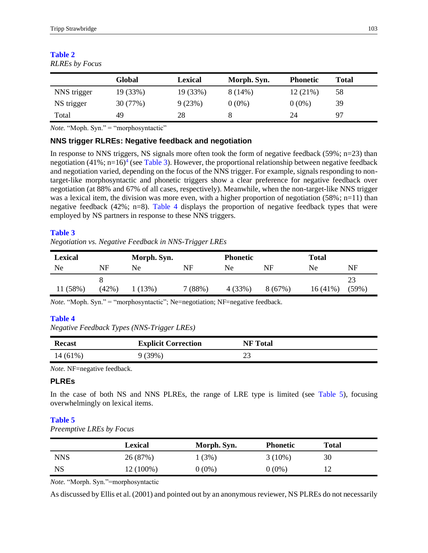|             | <b>Global</b> | <b>Lexical</b> | Morph. Syn. | <b>Phonetic</b> | <b>Total</b> |
|-------------|---------------|----------------|-------------|-----------------|--------------|
| NNS trigger | 19 (33%)      | 19 (33%)       | $8(14\%)$   | 12(21%)         | 58           |
| NS trigger  | 30(77%)       | 9(23%)         | $0(0\%)$    | $0(0\%)$        | 39           |
| Total       | 49            | 28             |             | 24              | 97           |

#### <span id="page-9-0"></span>**Table 2** *RLREs by Focus*

*Note.* "Moph. Syn." = "morphosyntactic"

## **NNS trigger RLREs: Negative feedback and negotiation**

<span id="page-9-2"></span><span id="page-9-1"></span>In response to NNS triggers, NS signals more often took the form of negative feedback (59%;  $n=23$ ) than negotiation  $(41\%; n=16)^4$  $(41\%; n=16)^4$  $(41\%; n=16)^4$  (see Table 3). However, the proportional relationship between negative feedback and negotiation varied, depending on the focus of the NNS trigger. For example, signals responding to nontarget-like morphosyntactic and phonetic triggers show a clear preference for negative feedback over negotiation (at 88% and 67% of all cases, respectively). Meanwhile, when the non-target-like NNS trigger was a lexical item, the division was more even, with a higher proportion of negotiation (58%; n=11) than negative feedback (42%; n=8). Table 4 displays the proportion of negative feedback types that were employed by NS partners in response to these NNS triggers.

## **[Table 3](#page-9-1)**

*Negotiation vs. Negative Feedback in NNS-Trigger LREs*

| Lexical  |       | Morph. Syn. |        | <b>Phonetic</b> |        | <b>Total</b> |       |
|----------|-------|-------------|--------|-----------------|--------|--------------|-------|
| Ne       | NF    | Ne          | NF     | Ne              | NF     | Ne           | NF    |
|          |       |             |        |                 |        |              | 23    |
| 11 (58%) | (42%) | $(13\%)$    | 7(88%) | 4 (33%)         | 8(67%) | $16(41\%)$   | (59%) |

*Note.* "Moph. Syn." = "morphosyntactic"; Ne=negotiation; NF=negative feedback.

## **Table 4**

*Negative Feedback Types (NNS-Trigger LREs)*

| <b>Recast</b> | <b>Explicit Correction</b> | <b>NF</b> Total |
|---------------|----------------------------|-----------------|
| $14(61\%)$    | (39%)                      |                 |

*Note.* NF=negative feedback.

## **PLREs**

In the case of both NS and NNS PLREs, the range of LRE type is limited (see Table 5), focusing overwhelmingly on lexical items.

## **Table 5**

*Preemptive LREs by Focus*

|             | <b>Lexical</b> | Morph. Syn. | <b>Phonetic</b> | Total |  |
|-------------|----------------|-------------|-----------------|-------|--|
| NNS         | 26 (87%)       | (3%)        | $3(10\%)$       | 30    |  |
| $_{\rm NS}$ | 12 (100%)      | $0(0\%)$    | $0(0\%)$        | 12    |  |

*Note.* "Morph. Syn."=morphosyntactic

As discussed by Ellis et al. (2001) and pointed out by an anonymous reviewer, NS PLREs do not necessarily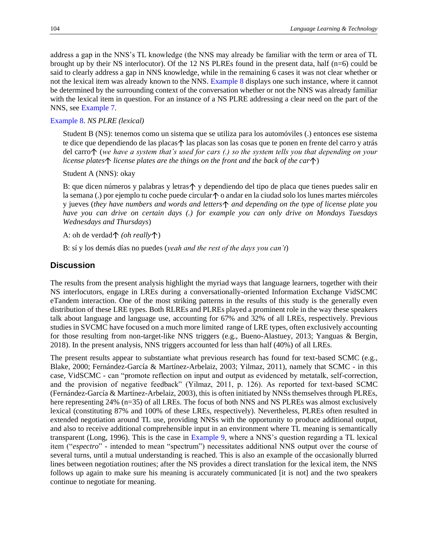address a gap in the NNS's TL knowledge (the NNS may already be familiar with the term or area of TL brought up by their NS interlocutor). Of the 12 NS PLREs found in the present data, half (n=6) could be said to clearly address a gap in NNS knowledge, while in the remaining 6 cases it was not clear whether or not the lexical item was already known to the NNS. Example 8 displays one such instance, where it cannot be determined by the surrounding context of the conversation whether or not the NNS was already familiar with the lexical item in question. For an instance of a NS PLRE addressing a clear need on the part of the NNS, see Example 7.

#### [Example 8.](#page-10-0) *NS PLRE (lexical)*

<span id="page-10-0"></span>Student B (NS): tenemos como un sistema que se utiliza para los automóviles (.) entonces ese sistema te dice que dependiendo de las placas $\uparrow$  las placas son las cosas que te ponen en frente del carro y atrás del carro (*we have a system that's used for cars (.) so the system tells you that depending on your license plates*  $\uparrow$  *license plates are the things on the front and the back of the car* $\uparrow$ )

Student A (NNS): okay

B: que dicen números y palabras y letras $\uparrow$  y dependiendo del tipo de placa que tienes puedes salir en la semana (.) por ejemplo tu coche puede circular $\uparrow$  o andar en la ciudad solo los lunes martes miércoles y jueves (*they have numbers and words and letters and depending on the type of license plate you have you can drive on certain days (.) for example you can only drive on Mondays Tuesdays Wednesdays and Thursdays*)

A: oh de verdad个 *(oh really*个)

B: sí y los demás días no puedes (*yeah and the rest of the days you can't*)

#### **Discussion**

The results from the present analysis highlight the myriad ways that language learners, together with their NS interlocutors, engage in LREs during a conversationally-oriented Information Exchange VidSCMC eTandem interaction. One of the most striking patterns in the results of this study is the generally even distribution of these LRE types. Both RLREs and PLREs played a prominent role in the way these speakers talk about language and language use, accounting for 67% and 32% of all LREs, respectively. Previous studies in SVCMC have focused on a much more limited range of LRE types, often exclusively accounting for those resulting from non-target-like NNS triggers (e.g., Bueno-Alastuey, 2013; Yanguas & Bergin, 2018). In the present analysis, NNS triggers accounted for less than half (40%) of all LREs.

The present results appear to substantiate what previous research has found for text-based SCMC (e.g., Blake, 2000; Fernández-García & Martínez-Arbelaiz, 2003; Yilmaz, 2011), namely that SCMC - in this case, VidSCMC - can "promote reflection on input and output as evidenced by metatalk, self-correction, and the provision of negative feedback" (Yilmaz, 2011, p. 126). As reported for text-based SCMC (Fernández-García & Martínez-Arbelaiz, 2003), this is often initiated by NNSs themselves through PLREs, here representing 24% (n=35) of all LREs. The focus of both NNS and NS PLREs was almost exclusively lexical (constituting 87% and 100% of these LREs, respectively). Nevertheless, PLREs often resulted in extended negotiation around TL use, providing NNSs with the opportunity to produce additional output, and also to receive additional comprehensible input in an environment where TL meaning is semantically transparent (Long, 1996). This is the case in Example 9, where a NNS's question regarding a TL lexical item ("*espectro*" - intended to mean "spectrum") necessitates additional NNS output over the course of several turns, until a mutual understanding is reached. This is also an example of the occasionally blurred lines between negotiation routines; after the NS provides a direct translation for the lexical item, the NNS follows up again to make sure his meaning is accurately communicated [it is not] and the two speakers continue to negotiate for meaning.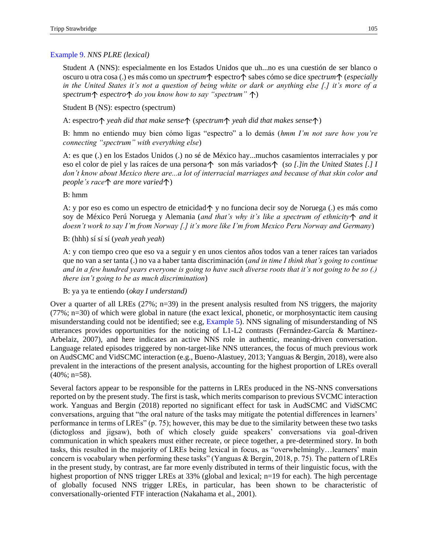### Example 9. *NNS PLRE (lexical)*

Student A (NNS): especialmente en los Estados Unidos que uh...no es una cuestión de ser blanco o oscuro u otra cosa (.) es más como un *spectrum*  $\uparrow$  espectro  $\uparrow$  sabes cómo se dice *spectrum*  $\uparrow$  (*especially in the United States it's not a question of being white or dark or anything else [.] it's more of a*  spectrum $\uparrow$  espectro $\uparrow$  do you know how to say "spectrum"  $\uparrow$ )

Student B (NS): espectro (spectrum)

A: espectro $\uparrow$  yeah did that make sense $\uparrow$  (spectrum $\uparrow$  yeah did that makes sense $\uparrow$ )

B: hmm no entiendo muy bien cómo ligas "espectro" a lo demás (*hmm I'm not sure how you're connecting "spectrum" with everything else*)

A: es que (.) en los Estados Unidos (.) no sé de México hay...muchos casamientos interraciales y por eso el color de piel y las raíces de una persona  $\uparrow$  son más variados  $\uparrow$  (*so [.]in the United States [.] I don't know about Mexico there are...a lot of interracial marriages and because of that skin color and people's race* $\uparrow$  *are more varied* $\uparrow$ )

B: hmm

A: y por eso es como un espectro de etnicidad $\uparrow$  y no funciona decir soy de Noruega (.) es más como soy de México Perú Noruega y Alemania (*and that's why it's like a spectrum of ethnicity*  $\uparrow$  *and it doesn't work to say I'm from Norway [.] it's more like I'm from Mexico Peru Norway and Germany*)

B: (hhh) sí sí sí (*yeah yeah yeah*)

A: y con tiempo creo que eso va a seguir y en unos cientos años todos van a tener raíces tan variados que no van a ser tanta (.) no va a haber tanta discriminación (*and in time I think that's going to continue and in a few hundred years everyone is going to have such diverse roots that it's not going to be so (.) there isn't going to be as much discrimination*)

B: ya ya te entiendo (*okay I understand)*

Over a quarter of all LREs  $(27\%; n=39)$  in the present analysis resulted from NS triggers, the majority (77%; n=30) of which were global in nature (the exact lexical, phonetic, or morphosyntactic item causing misunderstanding could not be identified; see e.g, [Example 5\)](#page-6-4). NNS signaling of misunderstanding of NS utterances provides opportunities for the noticing of L1-L2 contrasts (Fernández-García & Martínez-Arbelaiz, 2007), and here indicates an active NNS role in authentic, meaning-driven conversation. Language related episodes triggered by non-target-like NNS utterances, the focus of much previous work on AudSCMC and VidSCMC interaction (e.g., Bueno-Alastuey, 2013; Yanguas & Bergin, 2018), were also prevalent in the interactions of the present analysis, accounting for the highest proportion of LREs overall  $(40\%; n=58)$ .

Several factors appear to be responsible for the patterns in LREs produced in the NS-NNS conversations reported on by the present study. The first is task, which merits comparison to previous SVCMC interaction work. Yanguas and Bergin (2018) reported no significant effect for task in AudSCMC and VidSCMC conversations, arguing that "the oral nature of the tasks may mitigate the potential differences in learners' performance in terms of LREs" (p. 75); however, this may be due to the similarity between these two tasks (dictogloss and jigsaw), both of which closely guide speakers' conversations via goal-driven communication in which speakers must either recreate, or piece together, a pre-determined story. In both tasks, this resulted in the majority of LREs being lexical in focus, as "overwhelmingly…learners' main concern is vocabulary when performing these tasks" (Yanguas & Bergin, 2018, p. 75). The pattern of LREs in the present study, by contrast, are far more evenly distributed in terms of their linguistic focus, with the highest proportion of NNS trigger LREs at 33% (global and lexical; n=19 for each). The high percentage of globally focused NNS trigger LREs, in particular, has been shown to be characteristic of conversationally-oriented FTF interaction (Nakahama et al., 2001).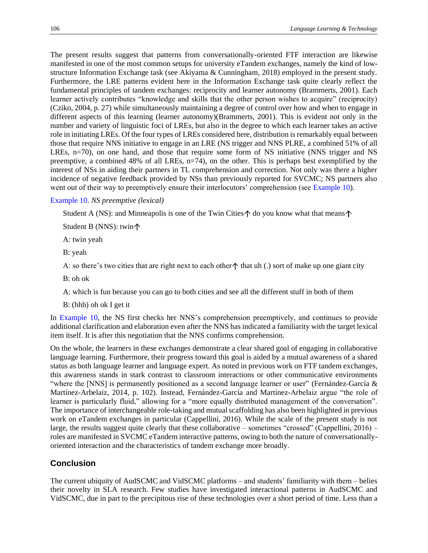The present results suggest that patterns from conversationally-oriented FTF interaction are likewise manifested in one of the most common setups for university eTandem exchanges, namely the kind of lowstructure Information Exchange task (see Akiyama & Cunningham, 2018) employed in the present study. Furthermore, the LRE patterns evident here in the Information Exchange task quite clearly reflect the fundamental principles of tandem exchanges: reciprocity and learner autonomy (Brammerts, 2001). Each learner actively contributes "knowledge and skills that the other person wishes to acquire" (reciprocity) (Cziko, 2004, p. 27) while simultaneously maintaining a degree of control over how and when to engage in different aspects of this learning (learner autonomy)(Brammerts, 2001). This is evident not only in the number and variety of linguistic foci of LREs, but also in the degree to which each learner takes an active role in initiating LREs. Of the four types of LREs considered here, distribution is remarkably equal between those that require NNS initiative to engage in an LRE (NS trigger and NNS PLRE, a combined 51% of all LREs, n=70), on one hand, and those that require some form of NS initiative (NNS trigger and NS preemptive, a combined 48% of all LREs, n=74), on the other. This is perhaps best exemplified by the interest of NSs in aiding their partners in TL comprehension and correction. Not only was there a higher incidence of negative feedback provided by NSs than previously reported for SVCMC; NS partners also went out of their way to preemptively ensure their interlocutors' comprehension (see Example 10).

#### <span id="page-12-0"></span>Example 10. *NS preemptive (lexical)*

Student A (NS): and Minneapolis is one of the Twin Cities  $\uparrow$  do you know what that means  $\uparrow$ 

Student B (NNS): twin

A: twin yeah

B: yeah

A: so there's two cities that are right next to each other  $\uparrow$  that uh (.) sort of make up one giant city

B: oh ok

A: which is fun because you can go to both cities and see all the different stuff in both of them

B: (hhh) oh ok I get it

In [Example 10,](#page-12-0) the NS first checks her NNS's comprehension preemptively, and continues to provide additional clarification and elaboration even after the NNS has indicated a familiarity with the target lexical item itself. It is after this negotiation that the NNS confirms comprehension.

On the whole, the learners in these exchanges demonstrate a clear shared goal of engaging in collaborative language learning. Furthermore, their progress toward this goal is aided by a mutual awareness of a shared status as both language learner and language expert. As noted in previous work on FTF tandem exchanges, this awareness stands in stark contrast to classroom interactions or other communicative environments "where the [NNS] is permanently positioned as a second language learner or user" (Fernández-García & Martínez-Arbelaiz, 2014, p. 102). Instead, Fernández-García and Martínez-Arbelaiz argue "the role of learner is particularly fluid," allowing for a "more equally distributed management of the conversation". The importance of interchangeable role-taking and mutual scaffolding has also been highlighted in previous work on eTandem exchanges in particular (Cappellini, 2016). While the scale of the present study is not large, the results suggest quite clearly that these collaborative – sometimes "crossed" (Cappellini, 2016) – roles are manifested in SVCMC eTandem interactive patterns, owing to both the nature of conversationallyoriented interaction and the characteristics of tandem exchange more broadly.

### **Conclusion**

The current ubiquity of AudSCMC and VidSCMC platforms – and students' familiarity with them – belies their novelty in SLA research. Few studies have investigated interactional patterns in AudSCMC and VidSCMC, due in part to the precipitous rise of these technologies over a short period of time. Less than a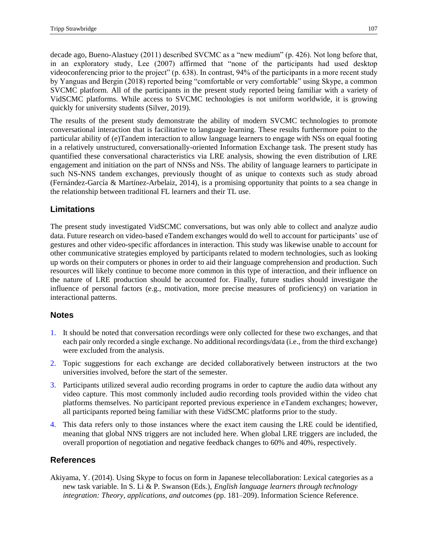decade ago, Bueno-Alastuey (2011) described SVCMC as a "new medium" (p. 426). Not long before that, in an exploratory study, Lee (2007) affirmed that "none of the participants had used desktop videoconferencing prior to the project" (p. 638). In contrast, 94% of the participants in a more recent study by Yanguas and Bergin (2018) reported being "comfortable or very comfortable" using Skype, a common SVCMC platform. All of the participants in the present study reported being familiar with a variety of VidSCMC platforms. While access to SVCMC technologies is not uniform worldwide, it is growing quickly for university students (Silver, 2019).

The results of the present study demonstrate the ability of modern SVCMC technologies to promote conversational interaction that is facilitative to language learning. These results furthermore point to the particular ability of (e)Tandem interaction to allow language learners to engage with NSs on equal footing in a relatively unstructured, conversationally-oriented Information Exchange task. The present study has quantified these conversational characteristics via LRE analysis, showing the even distribution of LRE engagement and initiation on the part of NNSs and NSs. The ability of language learners to participate in such NS-NNS tandem exchanges, previously thought of as unique to contexts such as study abroad (Fernández-García & Martínez-Arbelaiz, 2014), is a promising opportunity that points to a sea change in the relationship between traditional FL learners and their TL use.

## **Limitations**

The present study investigated VidSCMC conversations, but was only able to collect and analyze audio data. Future research on video-based eTandem exchanges would do well to account for participants' use of gestures and other video-specific affordances in interaction. This study was likewise unable to account for other communicative strategies employed by participants related to modern technologies, such as looking up words on their computers or phones in order to aid their language comprehension and production. Such resources will likely continue to become more common in this type of interaction, and their influence on the nature of LRE production should be accounted for. Finally, future studies should investigate the influence of personal factors (e.g., motivation, more precise measures of proficiency) on variation in interactional patterns.

## **Notes**

- <span id="page-13-0"></span>[1.](#page-4-0) It should be noted that conversation recordings were only collected for these two exchanges, and that each pair only recorded a single exchange. No additional recordings/data (i.e., from the third exchange) were excluded from the analysis.
- <span id="page-13-1"></span>[2.](#page-4-1) Topic suggestions for each exchange are decided collaboratively between instructors at the two universities involved, before the start of the semester.
- <span id="page-13-2"></span>[3.](#page-4-2) Participants utilized several audio recording programs in order to capture the audio data without any video capture. This most commonly included audio recording tools provided within the video chat platforms themselves. No participant reported previous experience in eTandem exchanges; however, all participants reported being familiar with these VidSCMC platforms prior to the study.
- <span id="page-13-3"></span>[4.](#page-9-2) This data refers only to those instances where the exact item causing the LRE could be identified, meaning that global NNS triggers are not included here. When global LRE triggers are included, the overall proportion of negotiation and negative feedback changes to 60% and 40%, respectively.

## **References**

Akiyama, Y. (2014). Using Skype to focus on form in Japanese telecollaboration: Lexical categories as a new task variable. In S. Li & P. Swanson (Eds.), *English language learners through technology integration: Theory, applications, and outcomes* (pp. 181–209). Information Science Reference.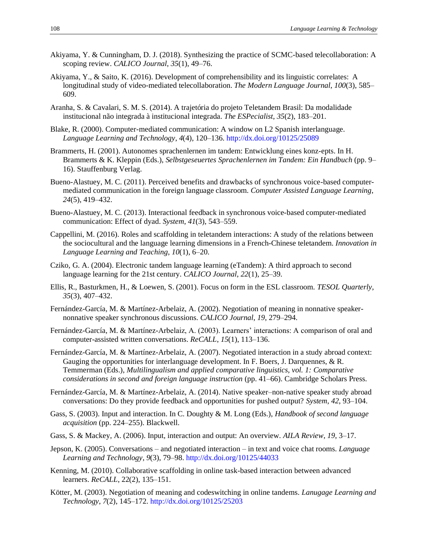- Akiyama, Y. & Cunningham, D. J. (2018). Synthesizing the practice of SCMC-based telecollaboration: A scoping review. *CALICO Journal*, *35*(1), 49–76.
- Akiyama, Y., & Saito, K. (2016). Development of comprehensibility and its linguistic correlates: A longitudinal study of video-mediated telecollaboration. *The Modern Language Journal*, *100*(3), 585– 609.
- Aranha, S. & Cavalari, S. M. S. (2014). A trajetória do projeto Teletandem Brasil: Da modalidade institucional não integrada à institucional integrada. *The ESPecialist*, *35*(2), 183–201.
- Blake, R. (2000). Computer-mediated communication: A window on L2 Spanish interlanguage. *Language Learning and Technology*, *4*(4), 120–136[. http://dx.doi.org/10125/25089](http://dx.doi.org/10125/25089)
- Brammerts, H. (2001). Autonomes sprachenlernen im tandem: Entwicklung eines konz-epts. In H. Brammerts & K. Kleppin (Eds.), *Selbstgeseuertes Sprachenlernen im Tandem: Ein Handbuch* (pp. 9– 16). Stauffenburg Verlag.
- Bueno-Alastuey, M. C. (2011). Perceived benefits and drawbacks of synchronous voice-based computermediated communication in the foreign language classroom. *Computer Assisted Language Learning*, *24*(5), 419–432.
- Bueno-Alastuey, M. C. (2013). Interactional feedback in synchronous voice-based computer-mediated communication: Effect of dyad. *System*, *41*(3), 543–559.
- Cappellini, M. (2016). Roles and scaffolding in teletandem interactions: A study of the relations between the sociocultural and the language learning dimensions in a French-Chinese teletandem. *Innovation in Language Learning and Teaching*, *10*(1), 6–20.
- Cziko, G. A. (2004). Electronic tandem language learning (eTandem): A third approach to second language learning for the 21st century. *CALICO Journal*, *22*(1), 25–39.
- Ellis, R., Basturkmen, H., & Loewen, S. (2001). Focus on form in the ESL classroom. *TESOL Quarterly*, *35*(3), 407–432.
- Fernández-García, M. & Martínez-Arbelaiz, A. (2002). Negotiation of meaning in nonnative speakernonnative speaker synchronous discussions. *CALICO Journal*, *19*, 279–294.
- Fernández-García, M. & Martínez-Arbelaiz, A. (2003). Learners' interactions: A comparison of oral and computer-assisted written conversations. *ReCALL*, *15*(1), 113–136.
- Fernández-García, M. & Martínez-Arbelaiz, A. (2007). Negotiated interaction in a study abroad context: Gauging the opportunities for interlanguage development. In F. Boers, J. Darquennes, & R. Temmerman (Eds.), *Multilingualism and applied comparative linguistics, vol. 1: Comparative considerations in second and foreign language instruction* (pp. 41–66). Cambridge Scholars Press.
- Fernández-García, M. & Martínez-Arbelaiz, A. (2014). Native speaker–non-native speaker study abroad conversations: Do they provide feedback and opportunities for pushed output? *System*, *42*, 93–104.
- Gass, S. (2003). Input and interaction. In C. Doughty & M. Long (Eds.), *Handbook of second language acquisition* (pp. 224–255). Blackwell.
- Gass, S. & Mackey, A. (2006). Input, interaction and output: An overview. *AILA Review*, *19*, 3–17.
- Jepson, K. (2005). Conversations and negotiated interaction in text and voice chat rooms. *Language Learning and Technology*, *9*(3), 79–98.<http://dx.doi.org/10125/44033>
- Kenning, M. (2010). Collaborative scaffolding in online task-based interaction between advanced learners. *ReCALL*, 22(2), 135–151.
- Kötter, M. (2003). Negotiation of meaning and codeswitching in online tandems. *Lanugage Learning and Technology*, *7*(2), 145–172[. http://dx.doi.org/10125/25203](http://dx.doi.org/10125/25203)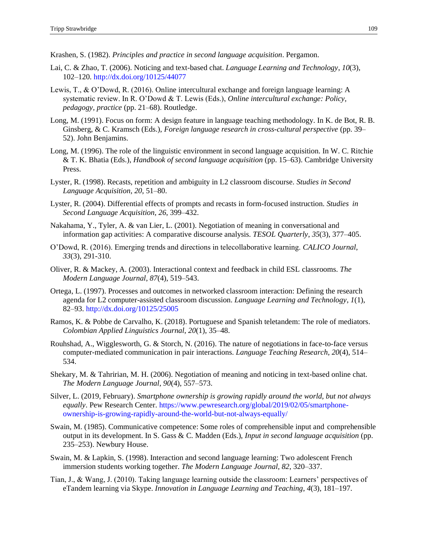Krashen, S. (1982). *Principles and practice in second language acquisition*. Pergamon.

- Lai, C. & Zhao, T. (2006). Noticing and text-based chat. *Language Learning and Technology*, *10*(3), 102–120.<http://dx.doi.org/10125/44077>
- Lewis, T., & O'Dowd, R. (2016). Online intercultural exchange and foreign language learning: A systematic review. In R. O'Dowd & T. Lewis (Eds.), *Online intercultural exchange: Policy, pedagogy, practice* (pp. 21–68). Routledge.
- Long, M. (1991). Focus on form: A design feature in language teaching methodology. In K. de Bot, R. B. Ginsberg, & C. Kramsch (Eds.), *Foreign language research in cross-cultural perspective* (pp. 39– 52). John Benjamins.
- Long, M. (1996). The role of the linguistic environment in second language acquisition. In W. C. Ritchie & T. K. Bhatia (Eds.), *Handbook of second language acquisition* (pp. 15–63). Cambridge University Press.
- Lyster, R. (1998). Recasts, repetition and ambiguity in L2 classroom discourse. *Studies in Second Language Acquisition*, *20*, 51–80.
- Lyster, R. (2004). Differential effects of prompts and recasts in form-focused instruction. *Studies in Second Language Acquisition*, *26*, 399–432.
- Nakahama, Y., Tyler, A. & van Lier, L. (2001). Negotiation of meaning in conversational and information gap activities: A comparative discourse analysis. *TESOL Quarterly*, *35*(3), 377–405.
- O'Dowd, R. (2016). Emerging trends and directions in telecollaborative learning. *CALICO Journal*, *33*(3), 291-310.
- Oliver, R. & Mackey, A. (2003). Interactional context and feedback in child ESL classrooms. *The Modern Language Journal*, *87*(4), 519–543.
- Ortega, L. (1997). Processes and outcomes in networked classroom interaction: Defining the research agenda for L2 computer-assisted classroom discussion. *Language Learning and Technology*, *1*(1), 82–93.<http://dx.doi.org/10125/25005>
- Ramos, K. & Pobbe de Carvalho, K. (2018). Portuguese and Spanish teletandem: The role of mediators. *Colombian Applied Linguistics Journal*, *20*(1), 35–48.
- Rouhshad, A., Wigglesworth, G. & Storch, N. (2016). The nature of negotiations in face-to-face versus computer-mediated communication in pair interactions. *Language Teaching Research*, *20*(4), 514– 534.
- Shekary, M. & Tahririan, M. H. (2006). Negotiation of meaning and noticing in text-based online chat. *The Modern Language Journal*, *90*(4), 557–573.
- Silver, L. (2019, February). *Smartphone ownership is growing rapidly around the world, but not always equally*. Pew Research Center. [https://www.pewresearch.org/global/2019/02/05/smartphone](https://www.pewresearch.org/global/2019/02/05/smartphone-ownership-is-growing-rapidly-around-the-world-but-not-always-equally/)[ownership-is-growing-rapidly-around-the-world-but-not-always-equally/](https://www.pewresearch.org/global/2019/02/05/smartphone-ownership-is-growing-rapidly-around-the-world-but-not-always-equally/)
- Swain, M. (1985). Communicative competence: Some roles of comprehensible input and comprehensible output in its development. In S. Gass & C. Madden (Eds.), *Input in second language acquisition* (pp. 235–253). Newbury House.
- Swain, M. & Lapkin, S. (1998). Interaction and second language learning: Two adolescent French immersion students working together. *The Modern Language Journal*, *82*, 320–337.
- Tian, J., & Wang, J. (2010). Taking language learning outside the classroom: Learners' perspectives of eTandem learning via Skype. *Innovation in Language Learning and Teaching*, *4*(3), 181–197.